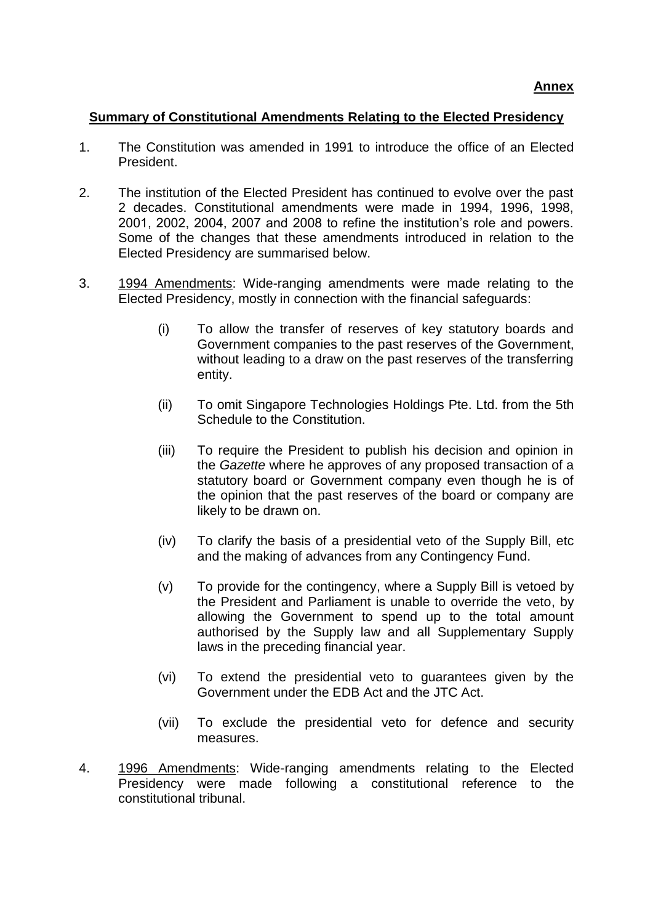## **Summary of Constitutional Amendments Relating to the Elected Presidency**

- 1. The Constitution was amended in 1991 to introduce the office of an Elected President.
- 2. The institution of the Elected President has continued to evolve over the past 2 decades. Constitutional amendments were made in 1994, 1996, 1998, 2001, 2002, 2004, 2007 and 2008 to refine the institution's role and powers. Some of the changes that these amendments introduced in relation to the Elected Presidency are summarised below.
- 3. 1994 Amendments: Wide-ranging amendments were made relating to the Elected Presidency, mostly in connection with the financial safeguards:
	- (i) To allow the transfer of reserves of key statutory boards and Government companies to the past reserves of the Government, without leading to a draw on the past reserves of the transferring entity.
	- (ii) To omit Singapore Technologies Holdings Pte. Ltd. from the 5th Schedule to the Constitution.
	- (iii) To require the President to publish his decision and opinion in the *Gazette* where he approves of any proposed transaction of a statutory board or Government company even though he is of the opinion that the past reserves of the board or company are likely to be drawn on.
	- (iv) To clarify the basis of a presidential veto of the Supply Bill, etc and the making of advances from any Contingency Fund.
	- (v) To provide for the contingency, where a Supply Bill is vetoed by the President and Parliament is unable to override the veto, by allowing the Government to spend up to the total amount authorised by the Supply law and all Supplementary Supply laws in the preceding financial year.
	- (vi) To extend the presidential veto to guarantees given by the Government under the EDB Act and the JTC Act.
	- (vii) To exclude the presidential veto for defence and security measures.
- 4. 1996 Amendments: Wide-ranging amendments relating to the Elected Presidency were made following a constitutional reference to the constitutional tribunal.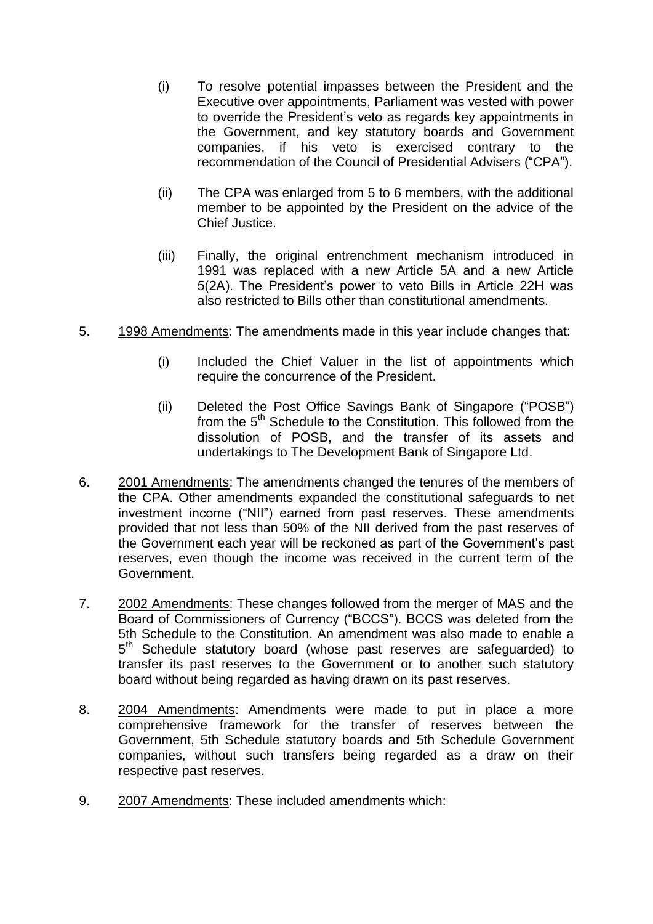- (i) To resolve potential impasses between the President and the Executive over appointments, Parliament was vested with power to override the President's veto as regards key appointments in the Government, and key statutory boards and Government companies, if his veto is exercised contrary to the recommendation of the Council of Presidential Advisers ("CPA").
- (ii) The CPA was enlarged from 5 to 6 members, with the additional member to be appointed by the President on the advice of the Chief Justice.
- (iii) Finally, the original entrenchment mechanism introduced in 1991 was replaced with a new Article 5A and a new Article 5(2A). The President's power to veto Bills in Article 22H was also restricted to Bills other than constitutional amendments.
- 5. 1998 Amendments: The amendments made in this year include changes that:
	- (i) Included the Chief Valuer in the list of appointments which require the concurrence of the President.
	- (ii) Deleted the Post Office Savings Bank of Singapore ("POSB") from the 5<sup>th</sup> Schedule to the Constitution. This followed from the dissolution of POSB, and the transfer of its assets and undertakings to The Development Bank of Singapore Ltd.
- 6. 2001 Amendments: The amendments changed the tenures of the members of the CPA. Other amendments expanded the constitutional safeguards to net investment income ("NII") earned from past reserves. These amendments provided that not less than 50% of the NII derived from the past reserves of the Government each year will be reckoned as part of the Government's past reserves, even though the income was received in the current term of the Government.
- 7. 2002 Amendments: These changes followed from the merger of MAS and the Board of Commissioners of Currency ("BCCS"). BCCS was deleted from the 5th Schedule to the Constitution. An amendment was also made to enable a 5<sup>th</sup> Schedule statutory board (whose past reserves are safeguarded) to transfer its past reserves to the Government or to another such statutory board without being regarded as having drawn on its past reserves.
- 8. 2004 Amendments: Amendments were made to put in place a more comprehensive framework for the transfer of reserves between the Government, 5th Schedule statutory boards and 5th Schedule Government companies, without such transfers being regarded as a draw on their respective past reserves.
- 9. 2007 Amendments: These included amendments which: